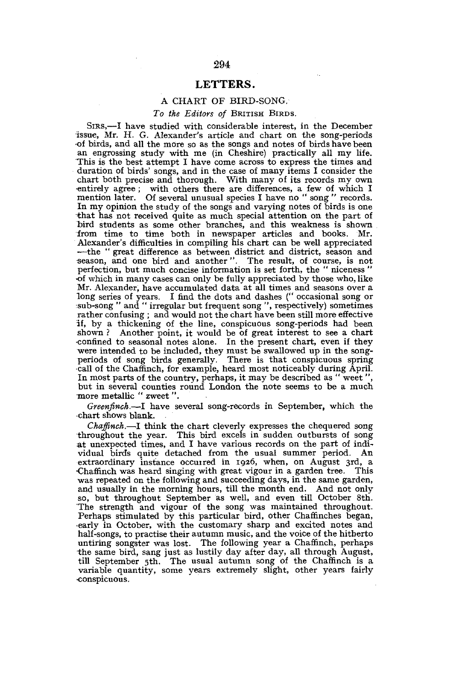# LETTERS.

# A CHART OF BIRD-SONG.

## *To the Editors of* BRITISH BIRDS.

SIRS,—I have studied with considerable interest, in the December issue, Mr. H. G. Alexander's article and chart on the song-periods •of birds, and all the more so as the songs and notes of birds have been an engrossing study with me (in Cheshire) practically all my life. This is the best attempt I have come across to express the times and duration of birds' songs, and in the case of many items I consider the chart both precise and thorough. With many of its records my own •entirely agree ; with others there are differences, a few of which I mention later. Of several unusual species I have no " song " records. In my opinion the study of the songs and varying notes of birds is one that has not received quite as much special attention on the part of bird students as some other branches, and this weakness is shown from time to time both in newspaper articles and books. Mr. Alexander's difficulties in compiling his chart can be well appreciated —the " great difference as between district and district, season and •season, and one bird and another" . The result, of course, is not perfection, but much concise information is set forth, the " niceness " •of which in many cases can only be fully appreciated by those who, like Mr. Alexander, have accumulated data at all times and seasons over a long series of years. I find the dots and dashes ("occasional song or sub-song " and " irregular but frequent song ", respectively) sometimes rather confusing ; and would not the chart have been still more effective if, by a thickening of the line, conspicuous song-periods had been shown ? Another point, it would be of great interest to see a chart •confined to seasonal notes alone. In the present chart, even if they were intended to be included, they must be swallowed up in the songperiods of song birds generally. There is that conspicuous spring call of the Chaffinch, for example, heard most noticeably during April. In most parts of the country, perhaps, it may be described as "weet' but in several counties round London the note seems to be a much more metallic " zweet ".

*Greenfinch.*—I have several song-records in September, which the chart shows blank.

*Chaffinch.*—I think the chart cleverly expresses the chequered song throughout the year. This bird excels in sudden outbursts of song at unexpected times, and I have various records on the part of individual birds quite detached from the usual summer period. An extraordinary instance occurred in 1926, when, on August 3rd, a •Chaffinch was heard singing with great vigour in a garden tree. This was repeated on the following and succeeding days, in the same garden, and usually in the morning hours, till the month end. And not only so, but throughout September as well, and even till October 8th. 'The strength and vigour of the song was maintained throughout. Perhaps stimulated by this particular bird, other Chaffinches began, •early in October, with the customary sharp and excited notes and half-songs, to practise their autumn music, and the voice of the hitherto untiring songster was lost. The following year a Chaffinch, perhaps -the same bird, sang just as lustily day after day, all through August, till September 5th. The usual autumn song of the Chaffinch is a variable quantity, some years extremely slight, other years fairly •conspicuous.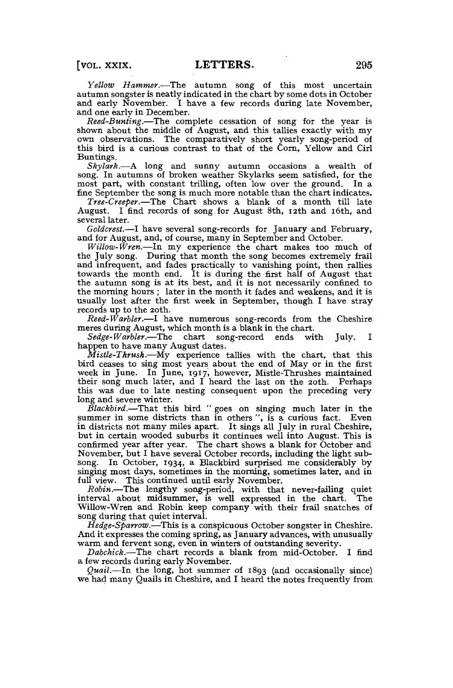*Yellow Hammer.*—The autumn song of this most uncertain autumn songster is neatly indicated in the chart by some dots in October and early November. I have a few records during late November, and one early in December.

*Reed-Bunting.*—The complete cessation of song for the year is shown about the middle of August, and this tallies exactly with my own observations. The comparatively short yearly song-period of this bird is a curious contrast to that of the Corn, Yellow and Cirl Buntings.

*Skylark.*—A long and sunny autumn occasions a wealth of song. In autumns of broken weather Skylarks seem satisfied, for the most part, with constant trilling, often low over the ground. In a fine September the song is much more notable than the chart indicates.

*Tree-Creeper.*—The Chart shows a blank of a month till late August. I find records of song for August 8th, 12th and 16th, and several later.

*Goldcrest.*—I have several song-records for January and February, and for August, and, of course, many in September and October.

*Willow-Wren.*—In my experience the chart makes too much of the July song. During that month the song becomes extremely frail and infrequent, and fades practically to vanishing point, then rallies towards the month end. It is during the first half of August that the autumn song is at its best, and it is not necessarily confined to the morning hours ; later in the month it fades and weakens, and it is usually lost after the first week in September, though I have stray records up to the 20th.

*Reed-Warbler.*—I have numerous song-records from the Cheshire meres during August, which month is a blank in the chart.<br>Sedge-Warbler.—The chart song-record ends with

song-record ends with July. I happen to have many August dates.

*Mistle-Thrush.*—My experience tallies with the chart, that this bird ceases to sing most years about the end of May or in the first week in June. In June, 1917, however, Mistle-Thrushes maintained their song much later, and I heard the last on the 20th. Perhaps this was due to late nesting consequent upon the preceding very long and severe winter.

*Blackbird.*—That this bird " goes on singing much later in the summer in some districts than in others ", is a curious fact. Even in districts not many miles apart. It sings all July in rural Cheshire, but in certain wooded suburbs it continues well into August. This is confirmed year after year. The chart shows a blank for October and November, but I have several October records, including the light subsong. In October, 1934, a Blackbird surprised me considerably by singing most days, sometimes in the morning, sometimes later, and in full view. This continued until early November.

*Robin.*—The lengthy song-period, with that never-failing quiet interval about midsummer, is well expressed in the chart. The Willow-Wren and Robin keep company with their frail snatches of song during that quiet interval.

*Hedge-Sparrow.*—This is a conspicuous October songster in Cheshire. And it expresses the coming spring, as January advances, with unusually warm and fervent song, even in winters of outstanding severity.

*Dabchick.*—The chart records a blank from mid-October. I find a few records during early November.

 $Quail.$ —In the long, hot summer of  $1893$  (and occasionally since) we had many Quails in Cheshire, and I heard the notes frequently from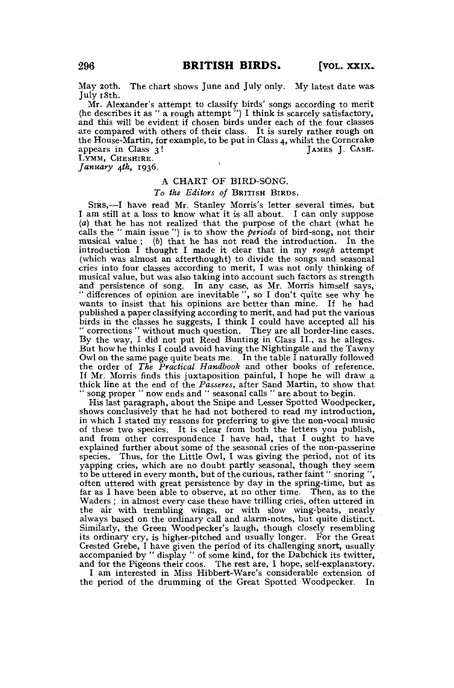May 20th. The chart shows June and July only. My latest date was. July 18th.

Mr. Alexander's attempt to classify birds' songs according to merit (he describes it as " a rough attempt ") I think is scarcely satisfactory, and this will be evident if chosen birds under each of the four classes are compared with others of their class. It is surely rather rough on the House-Martin, for example, to be put in Class 4, whilst the Corncrake<br>appears in Class 3! [AMES ]. CASH. appears in Class 3!

LYMM, CHESHIRE.

*January 4th*, 1936.

## A CHART OF BIRD-SONG.

#### *To the Editors of* BRITISH BIRDS .

SIRS,—I have read Mr. Stanley Morris's letter several times, but I am still at a loss to know what it is all about. I can only suppose  $(a)$  that he has not realized that the purpose of the chart (what he calls the " main issue ") is to show the *periods* of bird-song, not their musical value ; *(b)* tha t he has not read the introduction. In the introduction I thought I made it clear that in my *rough* attempt (which was almost an afterthought) to divide the songs and seasonal cries into four classes according to merit, I was not only thinking of musical value, but was also taking into account such factors as strength and persistence of song. In any case, as Mr. Morris himself says, " differences of opinion are inevitable ", so I don't quite see why he wants to insist that his opinions are better than mine. If he had published a paper classifying according to merit, and had put the various birds in the classes he suggests, I think I could have accepted all his " corrections " without much question. They are all border-line cases. By the way, I did not put Reed Bunting in Class II., as he alleges. But how he thinks I could avoid having the Nightingale and the Tawny Owl on the same page quite beats me. In the table I naturally followed the order of *The Practical Handbook* and other books of reference. If Mr. Morris finds this juxtaposition painful, I hope he will draw a thick line at the end of the *Passeres*, after Sand Martin, to show that "song proper " now ends and " seasonal calls " are about to begin.

His last paragraph, about the Snipe and Lesser Spotted Woodpecker, shows conclusively that he had not bothered to read my introduction, in which I stated my reasons for preferring to give the non-vocal music of these two species. It is clear from both the letters you publish, and from other correspondence I have had, that I ought to have explained further about some of the seasonal cries of the non-passerine species. Thus, for the Little Owl, I was giving the period, not of its yapping cries, which are no doubt partly seasonal, though they seem to be uttered in every month, but of the curious, rather faint " snoring ", often uttered with great persistence by day in the spring-time, but as far as I have been able to observe, at no other time. Then, as to the Waders ; in almost every case these have trilling cries, often uttered in the air with trembling wings, or with slow wing-beats, nearly always based on the ordinary call and alarm-notes, but quite distinct. Similarly, the Green Woodpecker's laugh, though closely resembling its ordinary cry, is higher-pitched and usually longer. For the Great Crested Grebe, I have given the period of its challenging snort, usually accompanied by " display " of some kind, for the Dabchick its twitter, and for the Pigeons their coos. The rest are, I hope, self-explanatory.

I am interested in Miss Hibbert-Ware's considerable extension of the period of the drumming of the Great Spotted Woodpecker. In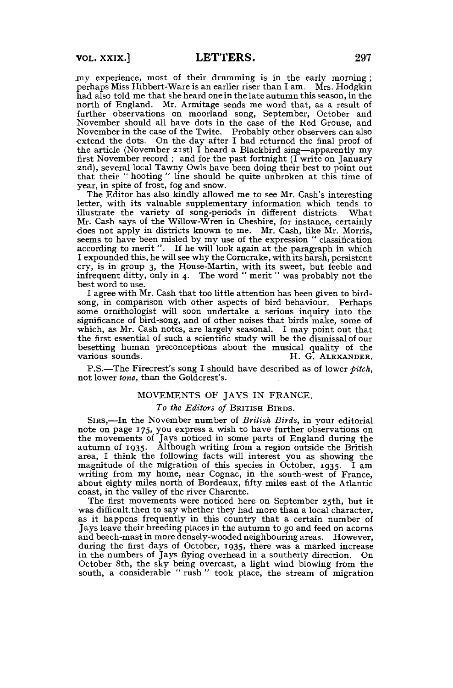my experience, most of their drumming is in the early morning; perhaps Miss Hibbert-Ware is an earlier riser than I am. Mrs. Hodgkin had also told me that she heard one in the late autumn this season, in the north of England. Mr. Armitage sends me word that, as a result of further observations on moorland song, September, October and November should all have dots in the case of the Red Grouse, and November in the case of the Twite. Probably other observers can also extend the dots. On the day after I had returned the final proof of the article (November 21st) I heard a Blackbird sing—apparently my first November record ; and for the past fortnight (I write on January 2nd), several local Tawny Owls have been doing their best to point out tha t their " hooting " line should be quite unbroken at this time of year, in spite of frost, fog and snow.

The Editor has also kindly allowed me to see Mr. Cash's interesting letter, with its valuable supplementary information which tends to illustrate the variety of song-periods in different districts. What Mr. Cash says of the Willow-Wren in Cheshire, for instance, certainly does not apply in districts known to me. Mr. Cash, like Mr. Morris, seems to have been misled by my use of the expression " classification according to merit ". If he will look again at the paragraph in which I expounded this, he will see why the Corncrake, with its harsh, persistent cry, is in group 3, the House-Martin, with its sweet, but feeble and infrequent ditty, only in 4. The word " merit " was probably not the best word to use.

I agree with Mr. Cash that too little attention has been given to birdsong, in comparison with other aspects of bird behaviour. Perhaps some ornithologist will soon undertake a serious inquiry into the significance of bird-song, and of other noises that birds make, some of which, as Mr. Cash notes, are largely seasonal. I may point out that the first essential of such a scientific study will be the dismissal of our besetting human preconceptions about the musical quality of the various sounds.  $H_G$  ALEXANDER. H. G. ALEXANDER.

P.S.—The Firecrest's song I should have described as of lower *pitch,*  not lower *tone,* than the Goldcrest's.

### MOVEMENTS OF JAYS IN FRANCE.

# *To the Editors of* BRITISH BIRDS.

SIRS,—In the November number of *British Birds,* in your editorial note on page 175, you express a wish to have further observations on the movements of Jays noticed in some parts of England during the autumn of 1935. Although writing from a region outside the British area, I think the following facts will interest you as showing the magnitude of the migration of this species in October, 1935. I am writing from my home, near Cognac, in the south-west of France, about eighty miles north of Bordeaux, fifty miles east of the Atlantic coast, in the valley of the river Charente.

The first movements were noticed here on September 25th, but it was difficult then to say whether they had more than a local character, as it happens frequently in this country that a certain number of Jays leave their breeding places in the autumn to go and feed on acorns and beech-mast in more densely-wooded neighbouring areas. However, during the first days of October, 1935, there was a marked increase in the numbers of Jays flying overhead in a southerly direction. On October 8th, the sky being overcast, a light wind blowing from the south, a considerable " rush " took place, the stream of migration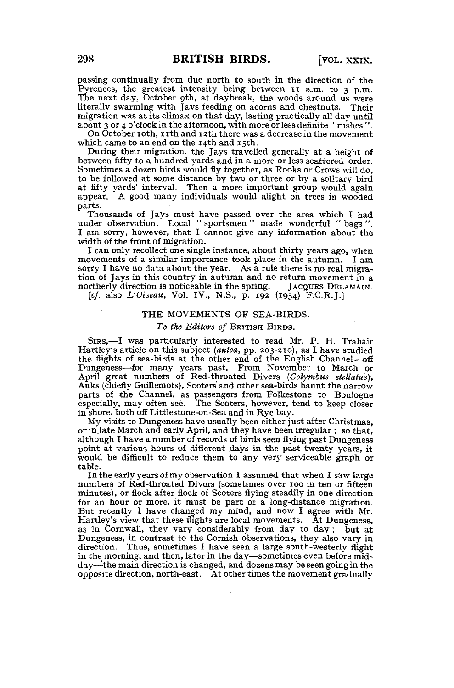passing continually from due north to south in the direction of the Pyrenees, the greatest intensity being between  $I1$  a.m. to 3 p.m. The next day, October 9th, at daybreak, the woods around us were literally swarming with Jays feeding on acorns and chestnuts. Their migration was at its climax on that day, lasting practically all day until about 3 or 4 o'clock in the afternoon, with more or less definite "rushes".

On October 10th, 11th and 12th there was a decrease in the movement which came to an end on the 14th and 15th.

During their migration, the Jays travelled generally at a height of between fifty to a hundred yards and in a more or less scattered order. Sometimes a dozen birds would fly together, as Rooks or Crows will do, to be followed at some distance by two or three or by a solitary bird at fifty yards' interval. Then a more important group would again appear. A. good many individuals would alight on trees in wooded parts.

Thousands of Jays must have passed over the area which I had under observation. Local "sportsmen " made, wonderful "bags" . I am sorry, however, that I cannot give any information about the width of the front of migration.

I can only recollect one single instance, about thirty years ago, when movements of a similar importance took place in the autumn. I am sorry I have no data about the year. As a rule there is no real migration of Jays in this country in autumn and no return movement in a northerly direction is noticeable in the spring. JACQUES DELAMAIN. *[cf.* also *L'Oiseau,* Vol. IV., N.S., p. 192 (1934) F.C.R.J.]

### THE MOVEMENTS OF SEA-BIRDS.

#### *To the Editors of* BRITISH BIRDS.

SIRS,—I was particularly interested to read Mr. P. H. Trahair Hartley's article on this subject *(antea,* pp. 203-210), as I have studied the flights of sea-birds at the other end of the English Channel—off Dungeness—for many years past. From November to March or April great numbers of Red-throated Divers *(Colymbus stellatus),*  Auks (chiefly Guillemots), Scoters and other sea-birds haunt the narrow parts of the Channel, as passengers from Folkestone to Boulogne especially, may often see. The Scoters, however, tend to keep closer in shore, both off Littlestone-on-Sea and in Rye bay.

My visits to Dungeness have usually been either just after Christmas, or in.late March and early April, and they have been irregular ; so that, although I have a number of records of birds seen flying past Dungeness point at various hours of different days in the past twenty years, it would be difficult to reduce them to any very serviceable graph or table.

In the early years of my observation I assumed that when I saw large numbers of Red-throated Divers (sometimes over 100 in ten or fifteen minutes), or flock after flock of Scoters flying steadily in one direction for an hour or more, it must be part of a long-distance migration. But recently I have changed my mind, and now I agree with Mr. Hartley's view that these flights are local movements. At Dungeness, as in Cornwall, they vary considerably from day to day ; but at Dungeness, in contrast to the Cornish observations, they also vary in direction. Thus, sometimes I have seen a large south-westerly flight in the morning, and then, later in the day—sometimes even before midday—^the main direction is changed, and dozens may be seen going in the opposite direction, north-east. At other times the movement gradually